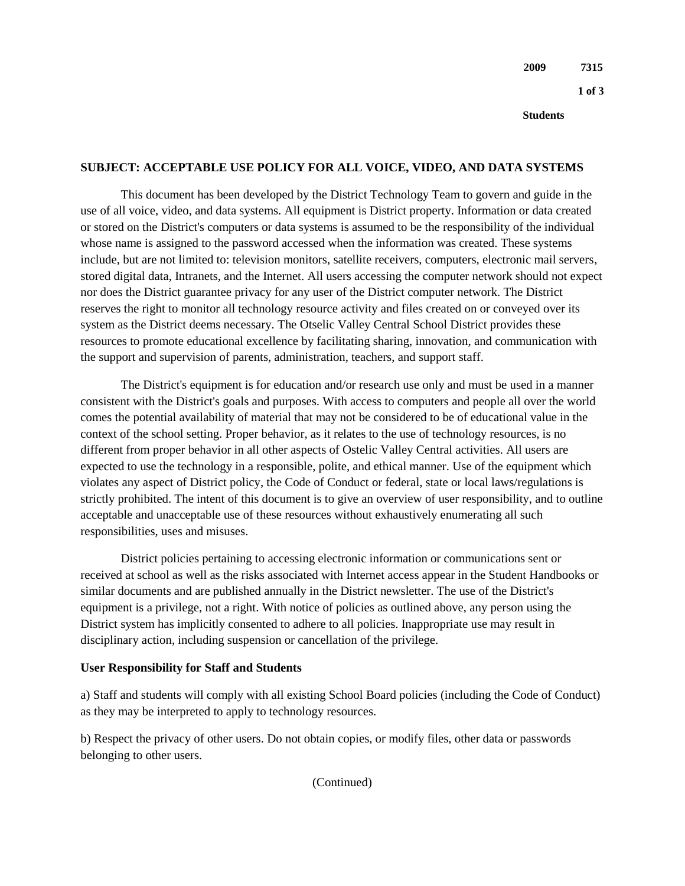**Students**

### **SUBJECT: ACCEPTABLE USE POLICY FOR ALL VOICE, VIDEO, AND DATA SYSTEMS**

This document has been developed by the District Technology Team to govern and guide in the use of all voice, video, and data systems. All equipment is District property. Information or data created or stored on the District's computers or data systems is assumed to be the responsibility of the individual whose name is assigned to the password accessed when the information was created. These systems include, but are not limited to: television monitors, satellite receivers, computers, electronic mail servers, stored digital data, Intranets, and the Internet. All users accessing the computer network should not expect nor does the District guarantee privacy for any user of the District computer network. The District reserves the right to monitor all technology resource activity and files created on or conveyed over its system as the District deems necessary. The Otselic Valley Central School District provides these resources to promote educational excellence by facilitating sharing, innovation, and communication with the support and supervision of parents, administration, teachers, and support staff.

The District's equipment is for education and/or research use only and must be used in a manner consistent with the District's goals and purposes. With access to computers and people all over the world comes the potential availability of material that may not be considered to be of educational value in the context of the school setting. Proper behavior, as it relates to the use of technology resources, is no different from proper behavior in all other aspects of Ostelic Valley Central activities. All users are expected to use the technology in a responsible, polite, and ethical manner. Use of the equipment which violates any aspect of District policy, the Code of Conduct or federal, state or local laws/regulations is strictly prohibited. The intent of this document is to give an overview of user responsibility, and to outline acceptable and unacceptable use of these resources without exhaustively enumerating all such responsibilities, uses and misuses.

District policies pertaining to accessing electronic information or communications sent or received at school as well as the risks associated with Internet access appear in the Student Handbooks or similar documents and are published annually in the District newsletter. The use of the District's equipment is a privilege, not a right. With notice of policies as outlined above, any person using the District system has implicitly consented to adhere to all policies. Inappropriate use may result in disciplinary action, including suspension or cancellation of the privilege.

#### **User Responsibility for Staff and Students**

a) Staff and students will comply with all existing School Board policies (including the Code of Conduct) as they may be interpreted to apply to technology resources.

b) Respect the privacy of other users. Do not obtain copies, or modify files, other data or passwords belonging to other users.

(Continued)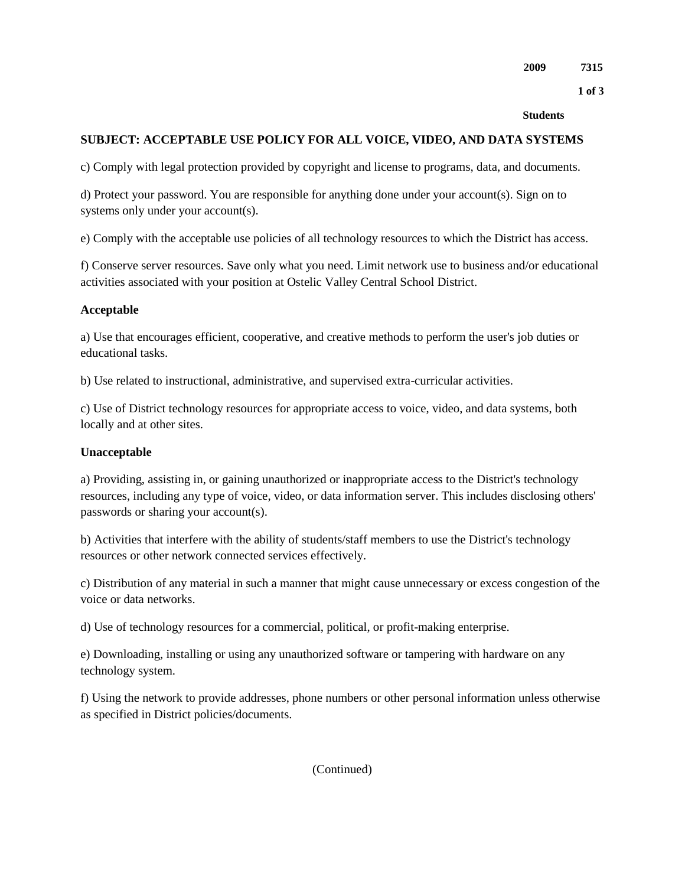**1 of 3** 

#### **Students**

### **SUBJECT: ACCEPTABLE USE POLICY FOR ALL VOICE, VIDEO, AND DATA SYSTEMS**

c) Comply with legal protection provided by copyright and license to programs, data, and documents.

d) Protect your password. You are responsible for anything done under your account(s). Sign on to systems only under your account(s).

e) Comply with the acceptable use policies of all technology resources to which the District has access.

f) Conserve server resources. Save only what you need. Limit network use to business and/or educational activities associated with your position at Ostelic Valley Central School District.

#### **Acceptable**

a) Use that encourages efficient, cooperative, and creative methods to perform the user's job duties or educational tasks.

b) Use related to instructional, administrative, and supervised extra-curricular activities.

c) Use of District technology resources for appropriate access to voice, video, and data systems, both locally and at other sites.

### **Unacceptable**

a) Providing, assisting in, or gaining unauthorized or inappropriate access to the District's technology resources, including any type of voice, video, or data information server. This includes disclosing others' passwords or sharing your account(s).

b) Activities that interfere with the ability of students/staff members to use the District's technology resources or other network connected services effectively.

c) Distribution of any material in such a manner that might cause unnecessary or excess congestion of the voice or data networks.

d) Use of technology resources for a commercial, political, or profit-making enterprise.

e) Downloading, installing or using any unauthorized software or tampering with hardware on any technology system.

f) Using the network to provide addresses, phone numbers or other personal information unless otherwise as specified in District policies/documents.

(Continued)